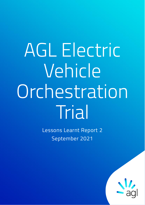# AGL Electric Vehicle Orchestration Trial

Lessons Learnt Report 2 September 2021

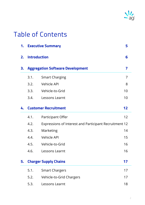

# Table of Contents

| 1. |                                         | <b>Executive Summary</b>                               | 5  |
|----|-----------------------------------------|--------------------------------------------------------|----|
| 2. | <b>Introduction</b>                     |                                                        | 6  |
| 3. | <b>Aggregation Software Development</b> |                                                        | 7  |
|    | 3.1.                                    | <b>Smart Charging</b>                                  | 7  |
|    | 3.2.                                    | Vehicle API                                            | 8  |
|    | 3.3.                                    | Vehicle-to-Grid                                        | 10 |
|    | 3.4.                                    | Lessons Learnt                                         | 10 |
| 4. | <b>Customer Recruitment</b>             |                                                        | 12 |
|    | 4.1.                                    | Participant Offer                                      | 12 |
|    | 4.2.                                    | Expressions of Interest and Participant Recruitment 12 |    |
|    | 4.3.                                    | Marketing                                              | 14 |
|    | 4.4.                                    | Vehicle API                                            | 15 |
|    | 4.5.                                    | Vehicle-to-Grid                                        | 16 |
|    | 4.6.                                    | Lessons Learnt                                         | 16 |
| 5. |                                         | <b>Charger Supply Chains</b>                           | 17 |
|    | 5.1.                                    | <b>Smart Chargers</b>                                  | 17 |
|    | 5.2.                                    | Vehicle-to-Grid Chargers                               | 17 |
|    | 5.3.                                    | Lessons Learnt                                         | 18 |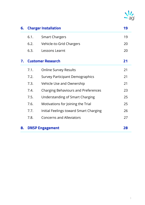

| 6. |                          | <b>Charger Installation</b>                | 19 |
|----|--------------------------|--------------------------------------------|----|
|    | 6.1.                     | <b>Smart Chargers</b>                      | 19 |
|    | 6.2.                     | Vehicle-to-Grid Chargers                   | 20 |
|    | 6.3.                     | Lessons Learnt                             | 20 |
| 7. | <b>Customer Research</b> |                                            | 21 |
|    | 7.1.                     | <b>Online Survey Results</b>               | 21 |
|    | 7.2.                     | <b>Survey Participant Demographics</b>     | 21 |
|    | 7.3.                     | Vehicle Use and Ownership                  | 21 |
|    | 7.4.                     | <b>Charging Behaviours and Preferences</b> | 23 |
|    | 7.5.                     | Understanding of Smart Charging            | 25 |
|    | 7.6.                     | Motivations for Joining the Trial          | 25 |
|    | 7.7.                     | Initial Feelings toward Smart Charging     | 26 |
|    | 7.8.                     | <b>Concerns and Alleviators</b>            | 27 |
| 8. | <b>DNSP Engagement</b>   |                                            | 28 |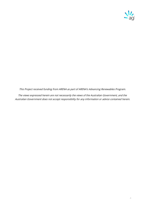

This Project received funding from ARENA as part of ARENA's Advancing Renewables Program.

The views expressed herein are not necessarily the views of the Australian Government, and the Australian Government does not accept responsibility for any information or advice contained herein.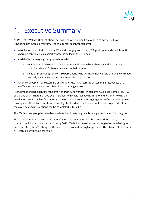

# <span id="page-4-0"></span>1. Executive Summary

AGL's Electric Vehicle Orchestration Trial has received funding from ARENA as part of ARENA's Advancing Renewables Program. The trial comprises three streams:

- A trial of orchestrated residential EV smart charging comprising 200 participants who will have their charging controlled via a smart charger installed in their homes.
- A trial of two emerging charging technologies:
	- $\circ$  Vehicle to grid (V2G) 50 participants who will have vehicle charging and discharging controlled via a V2G charger installed in their homes.
	- $\circ$  Vehicle API charging control 50 participants who will have their vehicle charging controlled remotely via an API supplied by the vehicle manufacturer.
- A control group of 100 customers on a time-of-use (TOU) tariff to assess the effectiveness of a tariffication incentive against that of firm charging control.

Recruitment of participants for the smart charging and vehicle API streams have been completed. 156 of the 200 smart chargers have been installed, with covid lockdowns in NSW and Victoria slowing the installation rate in the last few months. Smart charging vehicle API aggregation software development is complete. These two trial streams are slightly ahead of schedule and will remain so provided that the covid delayed installations can be completed in Q4 2021.

The TOU control group has also been selected and metering data is being accumulated for this group.

The requirement to obtain certification of V2G chargers to AS4777.2 has delayed the supply of these chargers, which are now expected in early 2022. Technical questions remain regarding interfacing to and controlling the V2G chargers; these are being worked through at present. This stream of the trial is currently slightly behind schedule.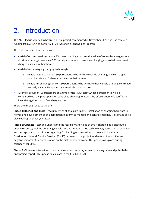

# <span id="page-5-0"></span>2. Introduction

The AGL Electric Vehicle Orchestration Trial project commenced in November 2020 and has received funding from ARENA as part of ARENA's Advancing Renewables Program.

The trial comprises three streams:

- A trial of orchestrated residential EV smart charging to assess the value of controlled charging as a distributed energy resource – 200 participants who will have their charging controlled via a smart charger installed in their homes.
- A trial of two emerging charging technologies:
	- $\circ$  Vehicle to grid charging 50 participants who will have vehicle charging and discharging controlled via a V2G charger installed in their homes.
	- o Vehicle API charging control 50 participants who will have their vehicle charging controlled remotely via an API supplied by the vehicle manufacturer.
- A control group of 100 customers on a time-of-use (TOU) tariff whose performance will be compared with the participants on controlled charging to assess the effectiveness of a tariffication incentive against that of firm charging control.

There are three phases to the trial:

**Phase 1: Recruit and Build** – recruitment of all trial participants, installation of charging hardware in homes and development of an aggregation platform to manage and control charging. This phase takes place during calendar year 2021.

**Phase 2: Operate** – test and understand the feasibility and value of smart charging as a distributed energy resource; trial the emerging vehicle API and vehicle-to-grid technologies; assess the experiences and perceptions of participants regarding EV charging orchestration; in conjunction with the Distribution Network Service Provider (DNSP) partners in the project, understand the positive and negative impacts of EV orchestration on the distribution network. This phase takes place during calendar year 2022.

**Phase 3: Close-out** – transition customers from the trial, analyse any remaining data and publish the final project report. This phase takes place in the first half of 2023.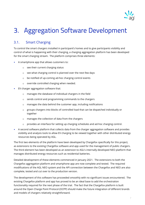

# <span id="page-6-0"></span>3. Aggregation Software Development

# <span id="page-6-1"></span>3.1. Smart Charging

To control the smart chargers installed in participant's homes and to give participants visibility and control of what is happening with their charging, a charging aggregation platform has been developed for the smart charging stream. The platform comprises three elements:

- A smartphone app that allows customers to:
	- o see their current charging status
	- o see what charging control is planned over the next few days
	- o be notified of up-coming ad-hoc charging control events
	- o override controlled charging when needed.
- EV charger aggregation software that:
	- o manages the database of individual chargers in the field
	- o sends control and programming commands to the chargers
	- o manages the data behind the customer app, including notifications
	- $\circ$  groups chargers into blocks of controlled load that can be dispatched individually or together
	- o manages the collection of data from the chargers
	- o provides an interface for setting up charging schedules and ad-hoc charging control.
- A second software platform that collects data from the charger aggregation software and provides visibility and analysis tools to allow EV charging to be viewed together with other distributed energy resources being operated by AGL.

The first two elements of the platform have been developed by Chargefox specifically for this project, as extensions to the existing Chargefox software and app used for the management of public chargers. The third element has been developed as an extension to AGL's internally developed NEO platform that manages distributed energy resources such as residential batteries.

Detailed development of these elements commenced in January 2021. The extensions to both the Chargefox aggregation platform and smartphone app are now complete and tested. The required modifications of the AGL NEO system and the API connection between the Chargefox and NEO are also complete, tested and cut over to the production version.

The development of this software has proceeded smoothly with no significant issues encountered. The existing Chargefox platform and app has proved to be an ideal base to add the orchestration functionality required for the next phase of the trial. The fact that the Chargefox platform is built around the Open Charge Point Protocol (OCPP) should make the future integration of different brands and models of chargers relatively straightforward.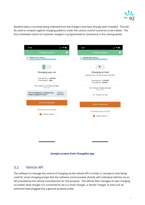

Baseline data is currently being collected from the chargers that have already been installed. This will be used to compare against charging patterns under the various control scenarios to be trialled. The first scheduled control of customer chargers is programmed to commence in the coming weeks.

| 4:03<br><b>INSO</b>                                                                                                                             | 4:27<br>$\blacksquare$ $\odot$ $\blacksquare$                     |  |  |  |
|-------------------------------------------------------------------------------------------------------------------------------------------------|-------------------------------------------------------------------|--|--|--|
| Charge session<br>$\left(2\right)$                                                                                                              | <b>Charge session</b><br>?                                        |  |  |  |
| Station 3573, Port A                                                                                                                            | Station 3573, Port A                                              |  |  |  |
| Charging your car                                                                                                                               | Charging on hold<br>(paused due to peak energy demand)            |  |  |  |
| Consumption: 0.08kWh<br>Time elapsed: 1min                                                                                                      | Consumption: 1.43kWh<br>Time elapsed: 25mins                      |  |  |  |
| Your charger is not being managed<br>More Info<br>You've stopped your charger from<br>$0:03$ hrs<br>being managed for 5mins<br><b>REMAINING</b> | Your charger is being managed<br>More Info<br>Charge car now<br>4 |  |  |  |
| <b>STOP CHARGING</b>                                                                                                                            | <b>STOP CHARGING</b>                                              |  |  |  |
| Something not working?<br>Help & support                                                                                                        | Something not working?<br>Help & support<br>2                     |  |  |  |

#### **Sample screens from Chargefox app**

#### <span id="page-7-0"></span>3.2. Vehicle API

The software to manage the control of charging via the vehicle API is similar in concept to that being used for smart charging except that the software communicates directly with individual vehicles via an API provided by the vehicle manufacturer for this purpose. The vehicle then manages its own charging no matter what charger it is connected to, be it a smart charger, a "dumb" charger or even just an extension lead plugged into a general purpose outlet.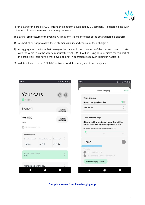

For this part of the project AGL, is using the platform developed by US company Flexcharging Inc, with minor modifications to meet the trial requirements.

The overall architecture of the vehicle API platform is similar to that of the smart charging platform:

- 1) A smart phone app to allow the customer visibility and control of their charging.
- 2) An aggregation platform that manages the data and control aspects of the trial and communicates with the vehicles via the vehicle manufacturer API. (AGL will be using Tesla vehicles for this part of the project as Tesla have a well-developed API in operation globally, including in Australia.)
- 3) A data interface to the AGL NEO software for data management and analytics.



**Sample screens from Flexcharging app**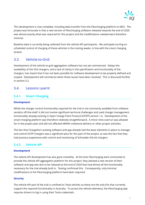

This development is now complete, including data transfer from the Flexcharging platform to NEO. The project was fortunate in that a new version of Flexcharging software released towards the end of 2020 was almost exactly what was required for this project and the modifications needed were therefore minimal.

Baseline data is currently being collected from the vehicle API participants. We anticipate turning on scheduled control of charging of these vehicles in the coming weeks, in line with the smart charging stream.

### <span id="page-9-0"></span>3.3. Vehicle-to-Grid

Development of the vehicle-to-grid aggregation software has not yet commenced. Delays the availability of the V2G chargers, and a lack of clarity in the specification and functionality of the chargers, has meant that it has not been possible for software development to be properly defined and scoped. Development will commence when these issues have been resolved. This is discussed further in section 5.2.

#### <span id="page-9-1"></span>3.4. Lessons Learnt

#### **3.4.1. Smart Charging**

#### **Development**

Whilst the charger control functionality required for the trial is not commonly available from software vendors off-the-shelf, it did not involve significant technical challenges and used charger management functionality already existing in Open Charge Point Protocol (OCPP) version 1.6. Development of the smart charging platform was therefore relatively straightforward. A minor time overrun was allowed for in the project plan and did not affected ARENA milestone delivery or other project activities.

The fact that Chargefox's existing software and app already had the basic elements in place to manage and control OCPP chargers was a significant plus for this part of the project, as was the fact that they had previous experience with control and monitoring of Schneider EVLink chargers.

#### **3.4.2. Vehicle API**

#### **Development**

The vehicle API development has also gone smoothly. At the time Flexcharging were contracted to provide the vehicle API aggregation platform for this project, they advised a new version of their software and app was due to be released at the end of 2020 that had almost all the functionality necessary for the trial already built in. Testing confirmed this. Consequently, only minimal modifications to the Flexcharging platform have been required.

#### **Security**

The vehicle API part of the trial is confined to Tesla vehicles as these are the only EVs that currently support the required functionality in Australia. To access the vehicle telemetry, the Flexcharging app requires drivers to log in using their Tesla credentials.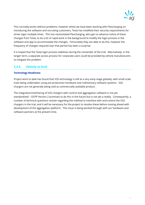

This normally works without problems, however whilst we have been working with Flexcharging on introducing the software and recruiting customers, Tesla has modified their security requirements for driver login multiple times. This has necessitated Flexcharging, who get no advance notice of these changes from Tesla, to do a lot of rapid work in the background to modify the login process in the software and app to accommodate the changes. Fortunately they are able to do this, however the frequency of changes required over that period has been a surprise.

It is hoped that the Tesla login process stabilises during the remainder of the trial. Alternatively, in the longer term, a separate access process for corporate users could be provided by vehicle manufacturers to mitigate this problem.

#### **3.4.3. Vehicle to Grid**

#### **Technology Readiness**

Project work to date has found that V2G technology is still at a very early stage globally, with small scale trials being undertaken using pre-production hardware and rudimentary software systems. V2G chargers are not generally being sold as commercially available product.

The integration/interfacing of V2G chargers with control and aggregation software is not yet standardised – OCPP Version 2 promises to do this in the future but is not yet a reality. Consequently, a number of technical questions remain regarding the method to interface with and control the V2G chargers in the trial, and it will be necessary for the project to resolve these before moving ahead with development of the aggregation platform. This issue is being worked through with our hardware and software partners at the present time.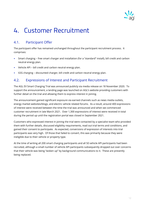

# <span id="page-11-0"></span>4. Customer Recruitment

# <span id="page-11-1"></span>4.1. Participant Offer

The participant offer has remained unchanged throughout the participant recruitment process. It comprises:

- Smart charging free smart charger and installation (for a "standard" install), bill credit and carbon neutral energy plan.
- Vehicle API bill credit and carbon neutral energy plan.
- V2G charging discounted charger, bill credit and carbon neutral energy plan.

## <span id="page-11-2"></span>4.2. Expressions of Interest and Participant Recruitment

The AGL EV Smart Charging Trial was announced publicly via media release on 18 November 2020. To support the announcement, a landing page was launched on AGL's website providing customers with further detail on the trial and allowing them to express interest in joining.

The announcement gained significant exposure via earned channels such as news media outlets, energy market websites/blogs, and electric vehicle related forums. As a result, around 400 expressions of interest were received between the time the trial was announced and when we commenced customer recruitment in late March 2021. Over 1,300 expressions of interest were received in total during the period up until the registration portal was closed in September 2021.

Customers who expressed interest in joining the trial were contacted by a specialist team who provided them with further details, discussed eligibility requirements, read out trial terms and conditions, and gained their consent to participate. As expected, conversions of expression of interests into trial participants was very high. Of those that failed to convert, this was primarily because they were ineligible due to their vehicle or property type.

At the time of writing all 200 smart charging participants and all 50 vehicle API participants had been recruited, although a small number of vehicle API participants subsequently dropped out over concerns that their vehicle was being "woken up" by background communications to it. These are presently being replaced.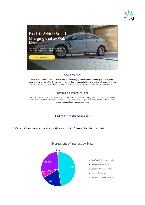



#### About the trial

If every electric car driver comes home from work and starts charging at the same time, while the grid is already at peak demand, it's just going to add to the pressure. To cope with that, we may need a bigger grid, which would be expensive - and could mean higher electricity bills for everyone. But what if we could just get smarter about when we charge our cars?

#### Introducing smart charging

Smart charging means we can communicate with your charger, or car, to start charging when the demand for electricity is lower - like overnight or in the middle of the day. And since most cars are plugged in for longer than they actually need to charge, we can be flexible with charging times.

#### **Part of the trial landing page**

Of the 1,308 expressions received, 47% were in NSW followed by 27% in Victoria.



#### Expressions of Interest by State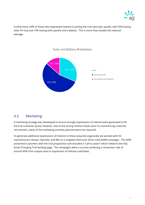

Furthermore, 69% of those who expressed interest in joining the trial had solar panels, with 55% having solar PV only and 14% having both panels and a battery. This is more than double the national average.



#### Solar and Battery Breakdown

#### <span id="page-13-0"></span>4.3. Marketing

A marketing strategy was developed to ensure enough expressions of interest were generated to fill the trial customer quota; however, due to the strong interest shown prior to commencing customer recruitment, many of the marketing activities planned were not required.

To generate additional expressions of interest to those acquired organically we worked with EV manufacturers Nissan, Hyundai, and MG on a targeted electronic direct mail (eDM) campaign. The eDM presented customers with the trial proposition and included a "call to action" which linked to the AGL Smart Charging Trial landing page. The campaigns were a success achieving a conversion rate of around 40% from unique send to expression of interest submitted.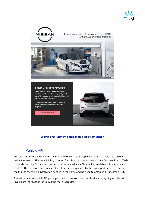



#### **Example recruitment email, in this case from Nissan**

#### <span id="page-14-0"></span>4.4. Vehicle API

Recruitment for the vehicle API stream of the trial was quite rapid with all 50 participants recruited inside five weeks. The key eligibility criterion for this group was ownership of a Tesla vehicle, as Tesla is currently the only EV manufacturer with necessary vehicle API capability available in the Australian market. The rapid recruitment can at least partly be explained by the low impact nature of this part of the trial, as there is no installation needed in the home and no need to organise a tradesman visit.

A small number of vehicle API participants withdrew from the trial shortly after signing up. We will investigate the reasons for this as the trial progresses.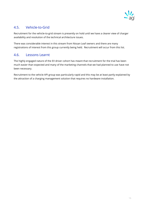

## <span id="page-15-0"></span>4.5. Vehicle-to-Grid

Recruitment for the vehicle-to-grid stream is presently on hold until we have a clearer view of charger availability and resolution of the technical architecture issues.

There was considerable interest in this stream from Nissan Leaf owners and there are many registrations of interest from this group currently being held. Recruitment will occur from this list.

### <span id="page-15-1"></span>4.6. Lessons Learnt

The highly engaged nature of the EV driver cohort has meant that recruitment for the trial has been much easier than expected and many of the marketing channels that we had planned to use have not been necessary.

Recruitment to the vehicle API group was particularly rapid and this may be at least partly explained by the attraction of a charging management solution that requires no hardware installation.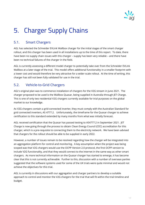

# <span id="page-16-0"></span>5. Charger Supply Chains

# <span id="page-16-1"></span>5.1. Smart Chargers

AGL has selected the Schneider EVLink Wallbox charger for the initial stages of the smart charger rollout, and this charger has been used in all installations up to the time of this report. To date, there have been no supply chain issues with this charger – supply has been very reliable – and there have been no technical failures of the charger in the field.

AGL is currently assessing a different model charger to potentially take over from the Schneider EVLink Wallbox at a later stage of the trial. This model offers additional functionality in a smaller footprint with a lower cost and would therefore be very attractive for a wider-scale rollout. At the time of writing, this charger has still not been fully validated for use in the trial.

# <span id="page-16-2"></span>5.2. Vehicle-to-Grid Chargers

AGL's original plan was to commence installation of chargers for the V2G stream in June 2021. The charger proposed to be used is the Wallbox Quasar, being supplied in Australia through JET Charge. This is one of only two residential V2G chargers currently available for trial purposes on the global market to our knowledge.

As V2G chargers contain a grid-connected inverter, they must comply with the Australian Standard for grid connected inverters, AS 4777.2. Unfortunately, the timeframe for the Quasar charger to achieve certification to this standard extended by many months from what was initially forecast.

AGL received certification that the Quasar has passed testing to AS4777.2 in September 2021. JET Charge is now going through the process to obtain Clean Energy Council (CEC) accreditation for this charger, which is a pre-requisite to connecting them to the electricity network. We have been advised that chargers for the rollout should be able to be supplied in early 2022.

However, a number of issues remain to be resolved regarding how the charger will be integrated into an aggregation platform for control and monitoring. A key assumption when the project was being scoped was that V2G chargers would use the OCPP Version 2.0 protocol, the first OCPP version to include V2G functionality, and that they would connect to the internet in the same way as other smart chargers. As more technical information on the Quasar charger has started to emerge, it has become clear that this is not currently achievable. Further to this, discussion with a number of overseas parties suggested that the software systems used for some of the UK trials were quite minimal and would not achieve the objectives for this trial.

AGL is currently in discussions with our aggregation and charger partners to develop a suitable approach to control and monitor the V2G chargers for the trial that will fit within the trial timeline and budget.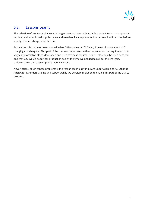

## <span id="page-17-0"></span>5.3. Lessons Learnt

The selection of a major global smart charger manufacturer with a stable product, tests and approvals in place, well established supply chains and excellent local representation has resulted in a trouble-free supply of smart chargers for the trial.

At the time this trial was being scoped in late 2019 and early 2020, very little was known about V2G charging and chargers. This part of the trial was undertaken with an expectation that equipment in its very early formative stage, developed and used overseas for small scale trials, could be used here too, and that V2G would be further productionised by the time we needed to roll out the chargers. Unfortunately, these assumptions were incorrect.

Nevertheless, solving these problems is the reason technology trials are undertaken, and AGL thanks ARENA for its understanding and support while we develop a solution to enable this part of the trial to proceed.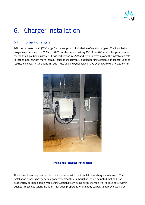

# <span id="page-18-0"></span>6. Charger Installation

# <span id="page-18-1"></span>6.1. Smart Chargers

AGL has partnered with JET Charge for the supply and installation of smart chargers. The installation program commenced on 31 March 2021. At the time of writing 156 of the 200 smart chargers required for the trial have been installed. Covid lockdowns in NSW and Victoria have slowed the installation rate in recent months, with more than 30 installations currently queued for installation in those states once restrictions ease. Installations in South Australia and Queensland have been largely unaffected by this.



#### **Typical trial charger installation**

There have been very few problems encountered with the installation of chargers in houses. The installation process has generally gone very smoothly, although it should be noted that AGL has deliberately excluded some types of installations from being eligible for the trial to keep costs within budget. These exclusions include strata-titled properties where body corporate approval would be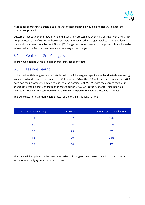

needed for charger installation, and properties where trenching would be necessary to install the charger supply cabling.

Customer feedback on the recruitment and installation process has been very positive, with a very high net promoter score of +58 from those customers who have had a charger installed. This is reflective of the good work being done by the AGL and JET Charge personnel involved in the process, but will also be influenced by the fact that customers are receiving a free charger.

# <span id="page-19-0"></span>6.2. Vehicle-to-Grid Chargers

There have been no vehicle-to-grid charger installations to date.

#### <span id="page-19-1"></span>6.3. Lessons Learnt

Not all residential chargers can be installed with the full charging capacity enabled due to house wiring, switchboard and service fuse limitations. With around 75% of the 200 trial chargers now installed, 44% have had their charge rate limited to less than the nominal 7.4kW (32A), with the average maximum charge rate of this particular group of chargers being 6.3kW. Anecdotally, charger installers have advised us that it is very common to limit the maximum power of chargers installed in homes.

| Current (A) | Percentage of installations |
|-------------|-----------------------------|
| 32          | 56%                         |
| 26          | 11%                         |
| 25          | 6%                          |
| 20          | 26%                         |
| 16          | 1%                          |
|             |                             |

The breakdown of maximum charge rates for the trial installations so far is:

This data will be updated in the next report when all chargers have been installed. It may prove of value for electricity system planning purposes.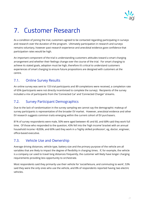

# <span id="page-20-0"></span>7. Customer Research

As a condition of joining the trial, customers agreed to be contacted regarding participating in surveys and research over the duration of the program. Ultimately participation in research and surveys remains voluntary, however past research experience and anecdotal evidence gave confidence that participation rates would be high.

An important component of the trial is understanding customers attitudes toward a smart charging arrangement and whether their feelings change over the course of the trial. For smart charging to achieve its stated goals, adoption must be high, therefore it's critical to understand customers experiences of smart charging to ensure future propositions are designed with customers at the centre.

# <span id="page-20-1"></span>7.1. Online Survey Results

An online survey was sent to 133 trial participants and 89 completions were received, a completion rate of 65% (participants were not directly incentivised to complete the survey). Recipients of the survey included a mix of participants from the 'Connected Car' and 'Connected Charger' streams.

# <span id="page-20-2"></span>7.2. Survey Participant Demographics

Due to the lack of randomisation in the survey sampling we cannot say the demographic makeup of survey participants is representative of the broader EV market. However, anecdotal evidence and other EV research suggests common traits emerging within the current cohort of EV purchasers.

81% of survey respondents were male, 50% were aged between 45 and 60, and 68% said they work full time. Of those who responded to the question, 43% fell into the 'high income' bracket with an annual household income >\$200k, and 60% said they work in a 'highly skilled profession', eg, doctor, engineer, office-based executive.

# <span id="page-20-3"></span>7.3. Vehicle Use and Ownership

Average driving distances, vehicle type, battery size and the primary purpose of the vehicle are all variables that are likely to impact the degree of flexibility in charging times. If, for example, the vehicle is a company car used to travel long distances frequently, the customer will likely have longer charging requirements providing less opportunity to orchestrate.

Most respondents said they primarily use their vehicle for 'social/leisure, and commuting to work', 53% said they were the only ones who use the vehicle, and 8% of respondents reported having two electric vehicles.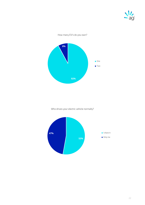

#### How many EV's do you own?



Who drives your electric vehicle normally?

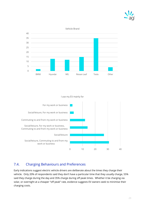

#### Vehicle Brand



#### I use my EV mainly for



#### <span id="page-22-0"></span>7.4. Charging Behaviours and Preferences

Early indications suggest electric vehicle drivers are deliberate about the times they charge their vehicle. Only 20% of respondents said they don't have a particular time that they usually charge, 55% said they charge during the day and 35% charge during off peak times. Whether it be charging via solar, or overnight at a cheaper "off peak" rate, evidence suggests EV owners seek to minimise their charging costs.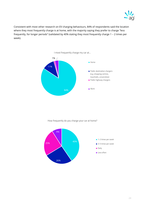

Consistent with most other research on EV charging behaviours, 84% of respondents said the location where they most frequently charge is at home, with the majority saying they prefer to charge "less frequently, for longer periods" (validated by 40% stating they most frequently charge 1 – 2 times per week).



How frequently do you charge your car at home?

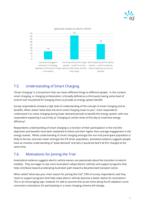



#### I generally charge my electric vehicle

## <span id="page-24-0"></span>7.5. Understanding of Smart Charging

"Smart charging" is a broad term that can mean different things to different people. In this context, smart charging, or charging orchestration, is broadly defined as a third party having some level of control over household EV charging times to provide an energy system benefit.

Survey respondents showed a high level of understanding of the concept of smart charging and its benefits. When asked "what does the term smart charging mean to you", most respondents understood it to mean charging during lower demand periods to benefit the energy system, with one respondent explaining it succinctly as "charging at certain times of the day to maximise energy efficiency".

Respondents understanding of smart charging is a function of their participation in the trial (the objectives and benefits have been explained to them) and their higher-than-average engagement in the energy market. Whilst understanding of smart charging amongst the non-trial participant population is likely to be low, and even lower amongst the ICE driver population, anecdotal evidence suggests people have an intuitive understanding of "peak demand" and why it would be bad if all EV's charged at the same time.

#### <span id="page-24-1"></span>7.6. Motivations for Joining the Trial

Anectodical evidence suggests electric vehicle owners are passionate about the transition to electric mobility. They are eager to see more Australian's adopt electric vehicles and support programs that help contribute toward accelerating Australia's path toward a decarbonised transport sector.

When asked "what was your main reason for joining the trial", 59% of survey respondents said they "want to support programs that help make electric vehicles become a better option for Australians". This is an encouraging sign, however it's safe to assume that as we move along the EV adoption curve, consumers motivations for participating in a smart charging scheme will change.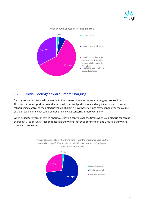



#### What's your main reason for joining the trial?

## <span id="page-25-0"></span>7.7. Initial Feelings toward Smart Charging

Gaining consumers trust will be crucial to the success of any future smart charging proposition. Therefore, it was important to understand whether trial participants had any initial concerns around relinquishing control of their electric vehicle charging, how these feelings may change over the course of the program and what could be done to alleviate concerns if there were any.

When asked "are you concerned about AGL having control over the times when your electric car can be charged?", 71% of survey respondents said they were "not at all concerned", and 27% said they were "somewhat concerned".



Are you concerned about AGL having control over the times when your electric car can be charged? (Please note you will still have the option of opting out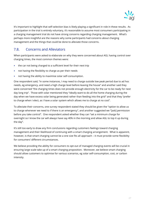

It's important to highlight that self-selection bias is likely playing a significant in role in these results. As participation in the trial is entirely voluntary, it's reasonable to assume most consumers participating in a charging management trial do not have strong concerns regarding charging management. What's perhaps more insightful are the reasons why some participants had concerns about charging management and the things that could be done to alleviate those concerns.

## <span id="page-26-0"></span>7.8. Concerns and Alleviators

When participants were asked to elaborate on why they were concerned about AGL having control over charging times, the most common themes were:

- the car not being charged to a sufficient level for their next trip
- not having the flexibility to charge as per their needs
- not having the ability to maximise solar self-consumption.

One respondent said, "in some instances, I may need to charge outside low peak period due to ad hoc needs, eg emergency, and need a high charge level before leaving the house" and another said they were concerned "the charging times does not provide enough electricity for the car to be ready for next day long trip". Those with solar mentioned they "ideally want to do all the home charging during the day when we have excess solar being generated rather than feeding into the grid" and that they "prefer to charge when I elect, as I have a solar system which allows me to charge at no cost".

To alleviate their concerns, one survey respondent stated they should be given the "option to allow us to charge whenever we need to if there is an emergency", and another suggested we "[ask] permission before you take control". One respondent asked whether they can "set a minimum charge for overnight so I know the car will always have say 40% in the morning and allow AGL to top it up during the day".

It's still too early to draw any firm conclusions regarding customers feelings toward charging management and their likelihood of continuing with a smart charging arrangement. What is apparent, however, is that smart charging cannot be a one size fits all approach – it must provide some flexibility for consumers' different circumstances.

We believe providing the ability for consumers to opt-out of managed charging events will be crucial in ensuring large scale take up of a smart charging proposition. Moreover, we believe smart charging should allow customers to optimise for various scenarios, eg solar self-consumption, cost, or carbon intensity.